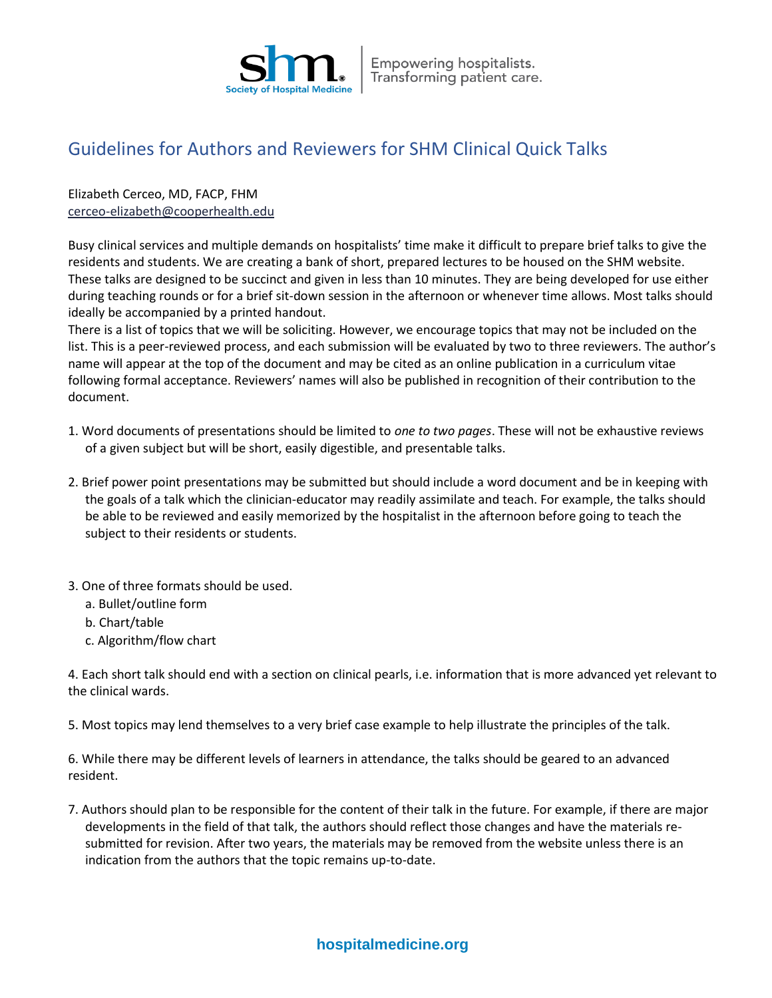

## Guidelines for Authors and Reviewers for SHM Clinical Quick Talks

## Elizabeth Cerceo, MD, FACP, FHM [cerceo-elizabeth@cooperhealth.edu](mailto:cerceo-elizabeth@cooperhealth.edu)

Busy clinical services and multiple demands on hospitalists' time make it difficult to prepare brief talks to give the residents and students. We are creating a bank of short, prepared lectures to be housed on the SHM website. These talks are designed to be succinct and given in less than 10 minutes. They are being developed for use either during teaching rounds or for a brief sit-down session in the afternoon or whenever time allows. Most talks should ideally be accompanied by a printed handout.

There is a list of topics that we will be soliciting. However, we encourage topics that may not be included on the list. This is a peer-reviewed process, and each submission will be evaluated by two to three reviewers. The author's name will appear at the top of the document and may be cited as an online publication in a curriculum vitae following formal acceptance. Reviewers' names will also be published in recognition of their contribution to the document.

- 1. Word documents of presentations should be limited to *one to two pages*. These will not be exhaustive reviews of a given subject but will be short, easily digestible, and presentable talks.
- 2. Brief power point presentations may be submitted but should include a word document and be in keeping with the goals of a talk which the clinician-educator may readily assimilate and teach. For example, the talks should be able to be reviewed and easily memorized by the hospitalist in the afternoon before going to teach the subject to their residents or students.
- 3. One of three formats should be used.
	- a. Bullet/outline form
	- b. Chart/table
	- c. Algorithm/flow chart

4. Each short talk should end with a section on clinical pearls, i.e. information that is more advanced yet relevant to the clinical wards.

5. Most topics may lend themselves to a very brief case example to help illustrate the principles of the talk.

6. While there may be different levels of learners in attendance, the talks should be geared to an advanced resident.

7. Authors should plan to be responsible for the content of their talk in the future. For example, if there are major developments in the field of that talk, the authors should reflect those changes and have the materials resubmitted for revision. After two years, the materials may be removed from the website unless there is an indication from the authors that the topic remains up-to-date.

## **hospitalmedicine.org**